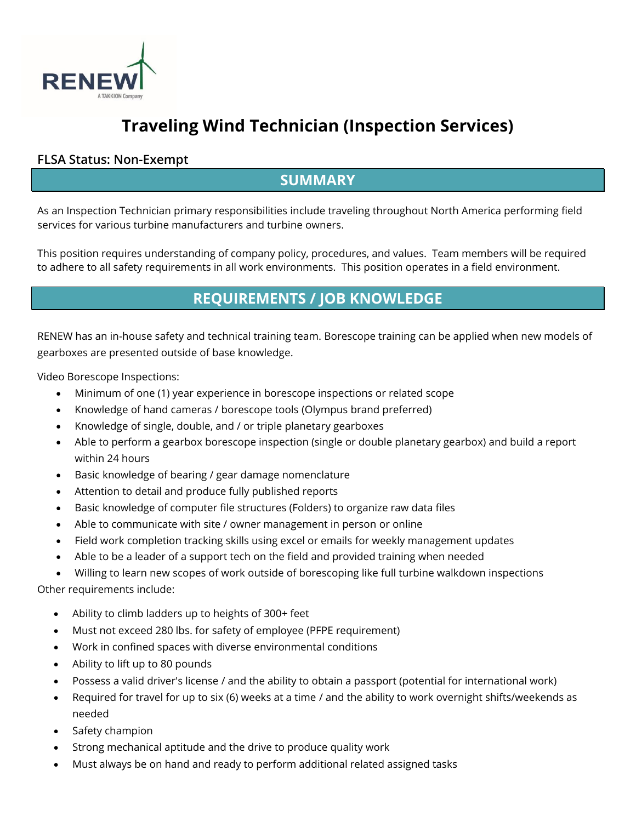

# **Traveling Wind Technician (Inspection Services)**

#### **FLSA Status: Non-Exempt**

#### **SUMMARY**

As an Inspection Technician primary responsibilities include traveling throughout North America performing field services for various turbine manufacturers and turbine owners.

This position requires understanding of company policy, procedures, and values. Team members will be required to adhere to all safety requirements in all work environments. This position operates in a field environment.

## **REQUIREMENTS / JOB KNOWLEDGE**

RENEW has an in-house safety and technical training team. Borescope training can be applied when new models of gearboxes are presented outside of base knowledge.

Video Borescope Inspections:

- Minimum of one (1) year experience in borescope inspections or related scope
- Knowledge of hand cameras / borescope tools (Olympus brand preferred)
- Knowledge of single, double, and / or triple planetary gearboxes
- Able to perform a gearbox borescope inspection (single or double planetary gearbox) and build a report within 24 hours
- Basic knowledge of bearing / gear damage nomenclature
- Attention to detail and produce fully published reports
- Basic knowledge of computer file structures (Folders) to organize raw data files
- Able to communicate with site / owner management in person or online
- Field work completion tracking skills using excel or emails for weekly management updates
- Able to be a leader of a support tech on the field and provided training when needed
- Willing to learn new scopes of work outside of borescoping like full turbine walkdown inspections

Other requirements include:

- Ability to climb ladders up to heights of 300+ feet
- Must not exceed 280 lbs. for safety of employee (PFPE requirement)
- Work in confined spaces with diverse environmental conditions
- Ability to lift up to 80 pounds
- Possess a valid driver's license / and the ability to obtain a passport (potential for international work)
- Required for travel for up to six (6) weeks at a time / and the ability to work overnight shifts/weekends as needed
- Safety champion
- Strong mechanical aptitude and the drive to produce quality work
- Must always be on hand and ready to perform additional related assigned tasks